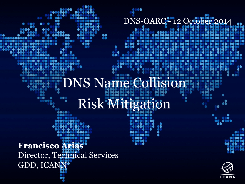DNS-OARC-'12 October 2014

**......** 

**...** 

 $\bullet\bullet\bullet$ 

....

#### DNS Name:Collision...  $\bullet\bullet$ 100  $0.000$ 8888 Risk Mitigation 80 l Ă  $000$ ....

 $\bullet$ 

66

**assessess** 

- 00

,,,,,,,, 888 .....  $\bullet$   $\blacksquare$ 

n a ga

. ... 00O

66

88

**Francisco Arias**  Director, Technical Services GDD, ICANN

....

aa

....

666

 $\blacksquare$ 

....

 $\bullet\circ\bullet\circ\bullet$ 

 $\bullet$ 



66

8881

.....

 $0000$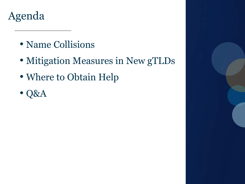#### $\overline{O}$ Agenda

- Name Collisions
- Mitigation Measures in New gTLDs
- Where to Obtain Help
- Q&A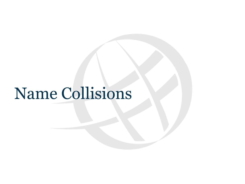### Name Collisions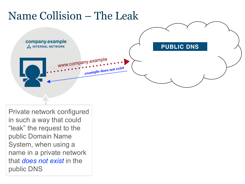#### $\overline{\phantom{a}}$ Name Collision – The Leak **COMPANY.CORP company.example INTERNAL NETWORK .Example**<br>**.Example** www.company.example **PUBLIC DNS NAME COLLISION** |<br>| does not exist

Private network configured in such a vate network confic Private network configured  $t_{\text{max}}$  that an in such a way that could "leak" the request to the public Domain Name System, when using a name in a private network that *does not exist* in the public DNS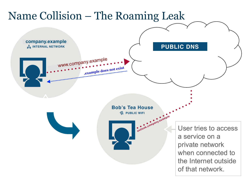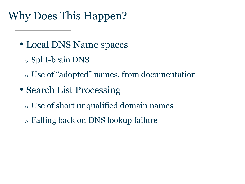#### Why Does This Happen? Text<sub>i</sub>

- Local DNS Name spaces
	- <sup>o</sup> Split-brain DNS
	- <sup>o</sup> Use of "adopted" names, from documentation
- Search List Processing
	- <sup>o</sup> Use of short unqualified domain names
	- <sup>o</sup> Falling back on DNS lookup failure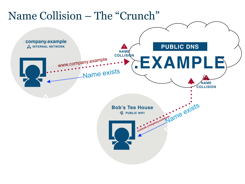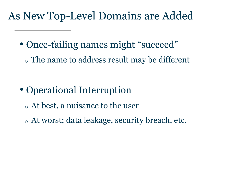#### $\sim$ As New Top-Level Domains are Added

- Once-failing names might "succeed"
	- <sup>o</sup> The name to address result may be different

- Operational Interruption
	- <sup>o</sup> At best, a nuisance to the user
	- <sup>o</sup> At worst; data leakage, security breach, etc.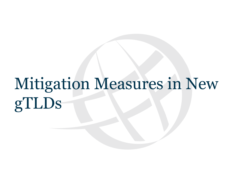# Mitigation Measures in New gTLDs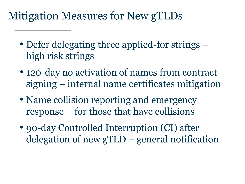### Mitigation Measures for New gTLDs text<sub>s</sub>

- Defer delegating three applied-for strings high risk strings
- 120-day no activation of names from contract signing – internal name certificates mitigation
- Name collision reporting and emergency response – for those that have collisions
- 90-day Controlled Interruption (CI) after delegation of new gTLD – general notification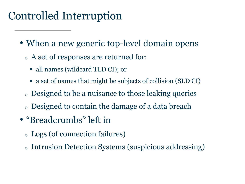### $\sum_{i=1}^{n}$ Controlled Interruption

- When a new generic top-level domain opens
	- <sup>o</sup> A set of responses are returned for:
		- all names (wildcard TLD CI); or
		- a set of names that might be subjects of collision (SLD CI)
	- <sup>o</sup> Designed to be a nuisance to those leaking queries
	- <sup>o</sup> Designed to contain the damage of a data breach
- "Breadcrumbs" left in
	- <sup>o</sup> Logs (of connection failures)
	- <sup>o</sup> Intrusion Detection Systems (suspicious addressing)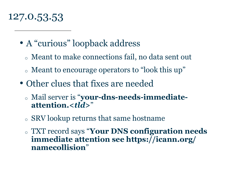#### $\overline{\phantom{a}}$ 127.0.53.53

- A "curious" loopback address
	- <sup>o</sup> Meant to make connections fail, no data sent out
	- <sup>o</sup> Meant to encourage operators to "look this up"
- Other clues that fixes are needed
	- <sup>o</sup> Mail server is "**your-dns-needs-immediateattention.<***tld***>**"
	- <sup>o</sup> SRV lookup returns that same hostname
	- <sup>o</sup> TXT record says "**Your DNS configuration needs immediate attention see https://icann.org/ namecollision**"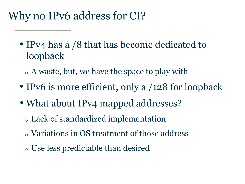#### Why no IPv6 address for CI? Text<sub>i</sub>

- IPv4 has a /8 that has become dedicated to loopback
	- <sup>o</sup> A waste, but, we have the space to play with
- IPv6 is more efficient, only a /128 for loopback
- What about IPv4 mapped addresses?
	- <sup>o</sup> Lack of standardized implementation
	- <sup>o</sup> Variations in OS treatment of those address
	- <sup>o</sup> Use less predictable than desired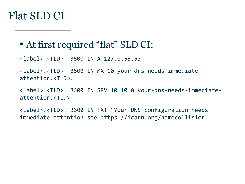#### $\overline{\phantom{a}}$ Flat SLD CI

### • At first required "flat" SLD CI:

<label>.<TLD>. 3600 IN A 127.0.53.53 

<label>.<TLD>. 3600 IN MX 10 your-dns-needs-immediateattention.<TLD>. 

<label>.<TLD>. 3600 IN SRV 10 10 0 your-dns-needs-immediateattention.<TLD>. 

<label>.<TLD>. 3600 IN TXT "Your DNS configuration needs immediate attention see https://icann.org/namecollision"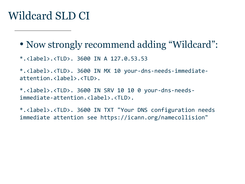#### Wildcard SLD CI  $\frac{1}{2}$

• Now strongly recommend adding "Wildcard":

 $*.$ <label>.<TLD>. 3600 IN A 127.0.53.53

\*.<label>.<TLD>. 3600 IN MX 10 your-dns-needs-immediateattention.<label>.<TLD>. 

\*.<label>.<TLD>. 3600 IN SRV 10 10 0 your-dns-needsimmediate-attention.<label>.<TLD>. 

\*.<label>.<TLD>. 3600 IN TXT "Your DNS configuration needs immediate attention see https://icann.org/namecollision"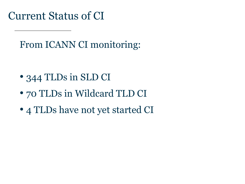$\overline{\phantom{a}}$ Current Status of CI

From ICANN CI monitoring:

- 344 TLDs in SLD CI
- 70 TLDs in Wildcard TLD CI
- 4 TLDs have not yet started CI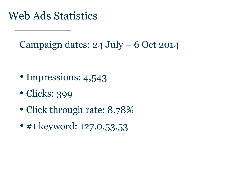#### Web Ads Statistics  $\ddot{\phantom{a}}$

Campaign dates: 24 July – 6 Oct 2014

- Impressions: 4,543
- Clicks: 399
- Click through rate: 8.78%
- #1 keyword: 127.0.53.53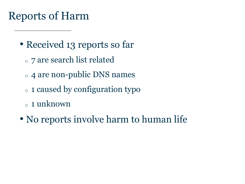#### $T^{\text{c}}$ Reports of Harm

- Received 13 reports so far
	- <sup>o</sup> 7 are search list related
	- <sup>o</sup> 4 are non-public DNS names
	- <sup>o</sup> 1 caused by configuration typo
	- <sup>o</sup> 1 unknown
- No reports involve harm to human life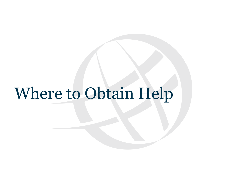## Where to Obtain Help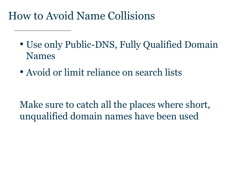#### $\overline{\phantom{a}}$ How to Avoid Name Collisions

- Use only Public-DNS, Fully Qualified Domain Names
- Avoid or limit reliance on search lists

Make sure to catch all the places where short, unqualified domain names have been used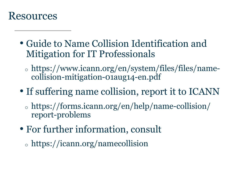#### t top **Resources**

- Guide to Name Collision Identification and Mitigation for IT Professionals
	- <sup>o</sup> https://www.icann.org/en/system/files/files/namecollision-mitigation-01aug14-en.pdf
- If suffering name collision, report it to ICANN
	- <sup>o</sup> https://forms.icann.org/en/help/name-collision/ report-problems
- For further information, consult
	- <sup>o</sup> https://icann.org/namecollision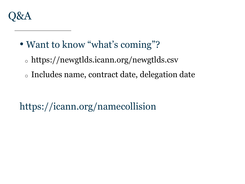

- Want to know "what's coming"?
	- <sup>o</sup> https://newgtlds.icann.org/newgtlds.csv
	- <sup>o</sup> Includes name, contract date, delegation date

https://icann.org/namecollision